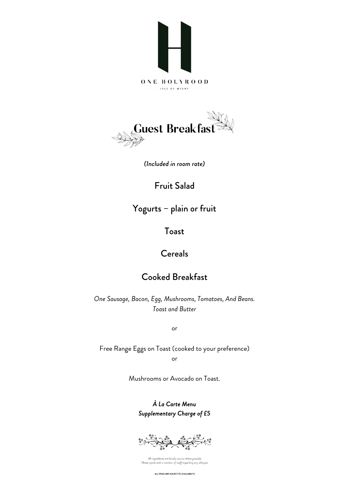



*(Included in room rate)*

Fruit Salad

Yogurts – plain or fruit

Toast

## Cereals

## Cooked Breakfast

*One Sausage, Bacon, Egg, Mushrooms, Tomatoes, And Beans. Toast and Butter*

or

Free Range Eggs on Toast (cooked to your preference) or

Mushrooms or Avocado on Toast.

*À La Carte Menu Supplementary Charge of £5* 



All ingredients are locally source where possible.<br>Please speak with a member of staff regarding any allergies

ALL ITEMS ARE SUBJECT TO AVAILABILITY.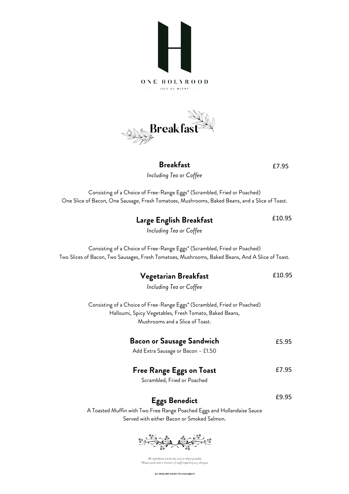



## **Breakfast**

£7.95

£10.95

*Including Tea or Coffee*

Consisting of a Choice of Free-Range Eggs\* (Scrambled, Fried or Poached) One Slice of Bacon, One Sausage, Fresh Tomatoes, Mushrooms, Baked Beans, and a Slice of Toast.

**Large English Breakfast**

| Including Tea or Coffee                                                                          |        |
|--------------------------------------------------------------------------------------------------|--------|
| Consisting of a Choice of Free-Range Eggs* (Scrambled, Fried or Poached)                         |        |
| Two Slices of Bacon, Two Sausages, Fresh Tomatoes, Mushrooms, Baked Beans, And A Slice of Toast. |        |
| Vegetarian Breakfast                                                                             | £10.95 |
| Including Tea or Coffee                                                                          |        |
| Consisting of a Choice of Free-Range Eggs* (Scrambled, Fried or Poached)                         |        |
| Halloumi, Spicy Vegetables, Fresh Tomato, Baked Beans,                                           |        |
| Mushrooms and a Slice of Toast.                                                                  |        |
| <b>Bacon or Sausage Sandwich</b>                                                                 | £5.95  |
| Add Extra Sausage or Bacon - £1.50                                                               |        |
| <b>Free Range Eggs on Toast</b>                                                                  | £7.95  |
| Scrambled, Fried or Poached                                                                      |        |
| <b>Eggs Benedict</b>                                                                             | £9.95  |
|                                                                                                  |        |
| A Toasted Muffin with Two Free Range Poached Eggs and Hollandaise Sauce                          |        |
| Served with either Bacon or Smoked Salmon.                                                       |        |



All ingredients are locally source where possible.<br>Please speak with a member of staff regarding any allergies

ALL ITEMS ARE SUBJECT TO AVAILABILITY.